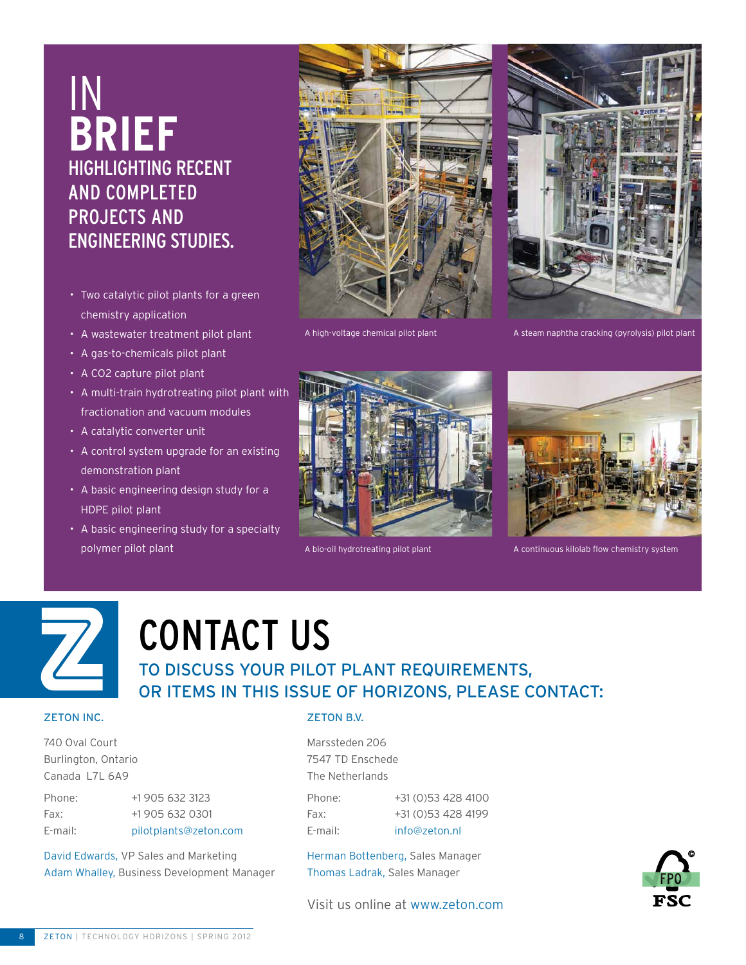### In **BRIEF**  HigHlighting RECENT and Completed PROJECTS AND ENGINEERING STUDIES.

- Two catalytic pilot plants for a green chemistry application
- A wastewater treatment pilot plant
- A gas-to-chemicals pilot plant
- A CO2 capture pilot plant
- A multi-train hydrotreating pilot plant with fractionation and vacuum modules
- A catalytic converter unit
- A control system upgrade for an existing demonstration plant
- A basic engineering design study for a HDPE pilot plant
- A basic engineering study for a specialty polymer pilot plant





A high-voltage chemical pilot plant A steam naphtha cracking (pyrolysis) pilot plant





A bio-oil hydrotreating pilot plant A continuous kilolab flow chemistry system



# contact us

#### to discuss your pilot plant requirements, or items in this issue of horizons, please contact:

#### **ZETON INC.**

740 Oval Court Burlington, Ontario Canada L7L 6A9

| Phone:  | +1 905 632 3123       |
|---------|-----------------------|
| Fax:    | +1 905 632 0301       |
| E-mail: | pilotplants@zeton.com |

David Edwards, VP Sales and Marketing Adam Whalley, Business Development Manager

#### **ZETON B.V.**

Marssteden 206 7547 TD Enschede The Netherlands

Phone: +31 (0)53 428 4100 Fax: +31 (0)53 428 4199 E-mail: info@zeton.nl

Herman Bottenberg, Sales Manager Thomas Ladrak, Sales Manager



Visit us online at www.zeton.com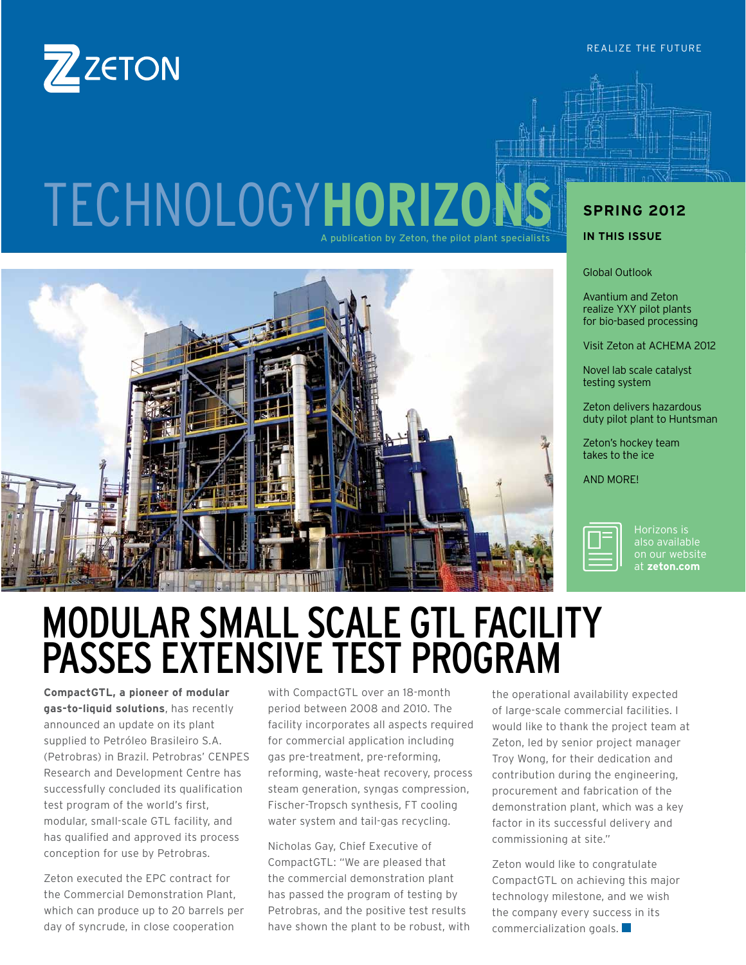

### TECHNOLOGY**HORIZO** A publication by Zeton, the pilot plant specialists



### **SPRING 2012**

**IN THIS ISSUE** 

Global Outlook

Avantium and Zeton realize YXY pilot plants for bio-based processing

Visit Zeton at ACHEMA 2012

Novel lab scale catalyst testing system

Zeton delivers hazardous duty pilot plant to Huntsman

Zeton's hockey team takes to the ice

AND MORE!



Horizons is at **zeton.com**

### MODULAR SMALL SCALE GTL FACILITY PASSES EXTENSIVE TEST PROGRAM

**CompactGTL, a pioneer of modular gas-to-liquid solutions**, has recently announced an update on its plant supplied to Petróleo Brasileiro S.A. (Petrobras) in Brazil. Petrobras' CENPES Research and Development Centre has successfully concluded its qualification test program of the world's first, modular, small-scale GTL facility, and has qualified and approved its process conception for use by Petrobras.

Zeton executed the EPC contract for the Commercial Demonstration Plant, which can produce up to 20 barrels per day of syncrude, in close cooperation

with CompactGTL over an 18-month period between 2008 and 2010. The facility incorporates all aspects required for commercial application including gas pre-treatment, pre-reforming, reforming, waste-heat recovery, process steam generation, syngas compression, Fischer-Tropsch synthesis, FT cooling water system and tail-gas recycling.

Nicholas Gay, Chief Executive of CompactGTL: "We are pleased that the commercial demonstration plant has passed the program of testing by Petrobras, and the positive test results have shown the plant to be robust, with the operational availability expected of large-scale commercial facilities. I would like to thank the project team at Zeton, led by senior project manager Troy Wong, for their dedication and contribution during the engineering, procurement and fabrication of the demonstration plant, which was a key factor in its successful delivery and commissioning at site."

Zeton would like to congratulate CompactGTL on achieving this major technology milestone, and we wish the company every success in its commercialization goals.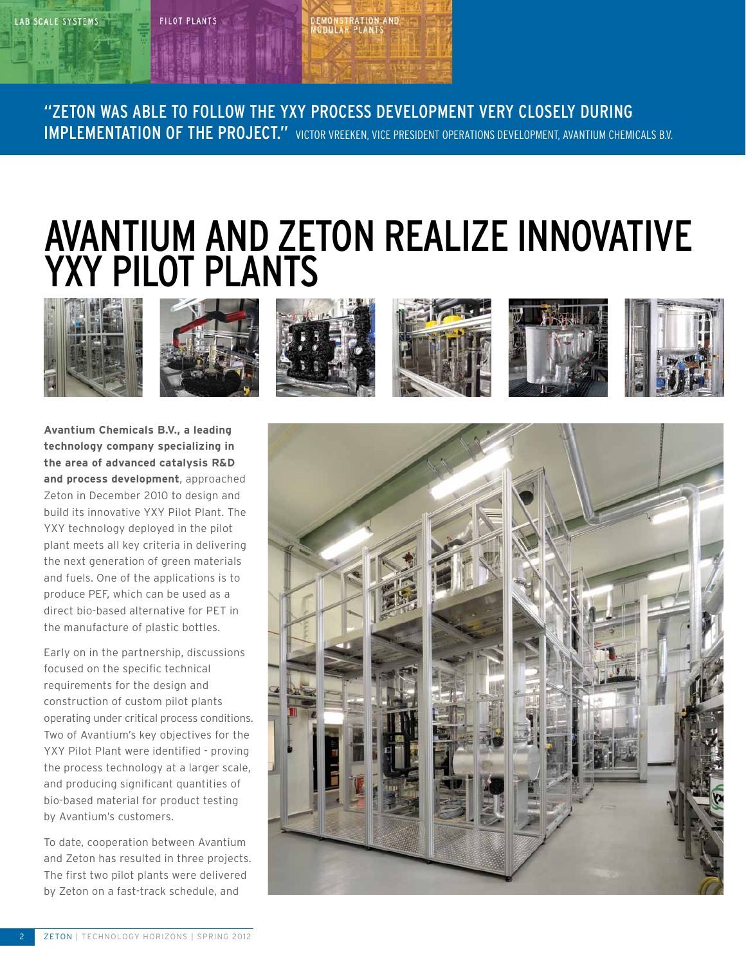#### PILOT PLANTS

# **EMONSTRATION AND**<br>IODULAR PLANTS

"Zeton was able to follow the YXY process development very closely during IMPLEMENTATION OF THE PROJECT." VICTOR VREEKEN, VICE PRESIDENT OPERATIONS DEVELOPMENT, AVANTIUM CHEMICALS B.V.

### AVANTIUM AND ZETON REALIZE INNOVATIVE YXY PILOT P



**Avantium Chemicals B.V., a leading technology company specializing in the area of advanced catalysis R&D and process development**, approached Zeton in December 2010 to design and build its innovative YXY Pilot Plant. The YXY technology deployed in the pilot plant meets all key criteria in delivering the next generation of green materials and fuels. One of the applications is to produce PEF, which can be used as a direct bio-based alternative for PET in the manufacture of plastic bottles.

Early on in the partnership, discussions focused on the specific technical requirements for the design and construction of custom pilot plants operating under critical process conditions. Two of Avantium's key objectives for the YXY Pilot Plant were identified - proving the process technology at a larger scale, and producing significant quantities of bio-based material for product testing by Avantium's customers.

To date, cooperation between Avantium and Zeton has resulted in three projects. The first two pilot plants were delivered by Zeton on a fast-track schedule, and

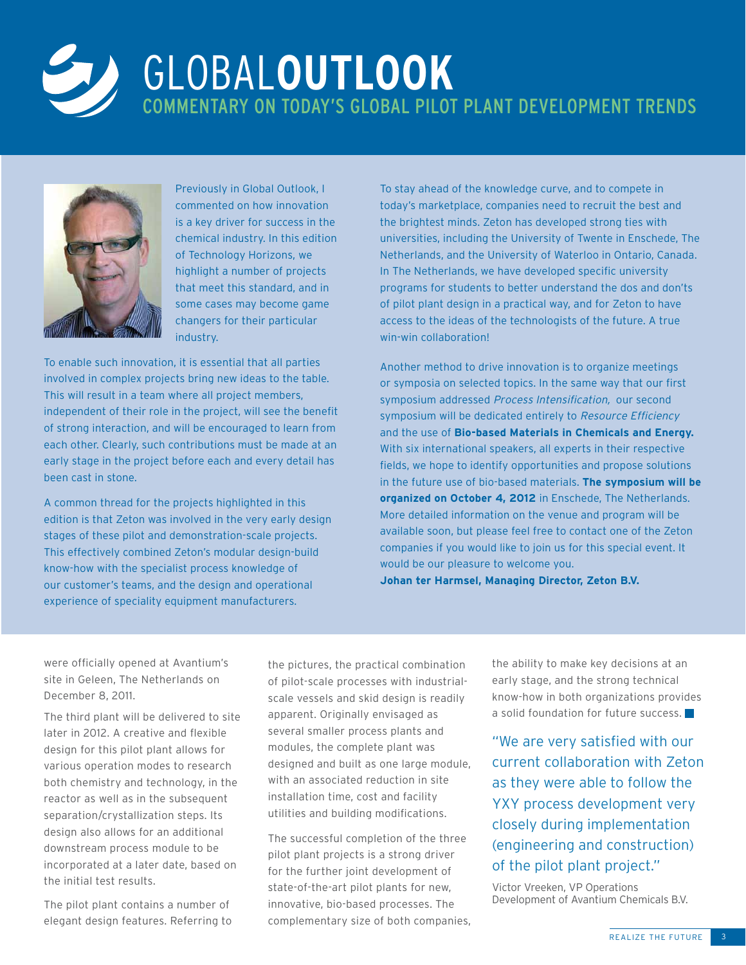

### GLOBAL**OUTLOOK**  COMMENTARy ON TODAY's GLOBAL PILOT PLANT DEVElOPMENT TRENDS



Previously in Global Outlook, I commented on how innovation is a key driver for success in the chemical industry. In this edition of Technology Horizons, we highlight a number of projects that meet this standard, and in some cases may become game changers for their particular industry.

To enable such innovation, it is essential that all parties involved in complex projects bring new ideas to the table. This will result in a team where all project members, independent of their role in the project, will see the benefit of strong interaction, and will be encouraged to learn from each other. Clearly, such contributions must be made at an early stage in the project before each and every detail has been cast in stone.

A common thread for the projects highlighted in this edition is that Zeton was involved in the very early design stages of these pilot and demonstration-scale projects. This effectively combined Zeton's modular design-build know-how with the specialist process knowledge of our customer's teams, and the design and operational experience of speciality equipment manufacturers.

To stay ahead of the knowledge curve, and to compete in today's marketplace, companies need to recruit the best and the brightest minds. Zeton has developed strong ties with universities, including the University of Twente in Enschede, The Netherlands, and the University of Waterloo in Ontario, Canada. In The Netherlands, we have developed specific university programs for students to better understand the dos and don'ts of pilot plant design in a practical way, and for Zeton to have access to the ideas of the technologists of the future. A true win-win collaboration!

Another method to drive innovation is to organize meetings or symposia on selected topics. In the same way that our first symposium addressed *Process Intensification,* our second symposium will be dedicated entirely to *Resource Efficiency* and the use of **Bio-based Materials in Chemicals and Energy.** With six international speakers, all experts in their respective fields, we hope to identify opportunities and propose solutions in the future use of bio-based materials. **The symposium will be organized on October 4, 2012** in Enschede, The Netherlands. More detailed information on the venue and program will be available soon, but please feel free to contact one of the Zeton companies if you would like to join us for this special event. It would be our pleasure to welcome you.

**Johan ter Harmsel, Managing Director, Zeton B.V.**

were officially opened at Avantium's site in Geleen, The Netherlands on December 8, 2011.

The third plant will be delivered to site later in 2012. A creative and flexible design for this pilot plant allows for various operation modes to research both chemistry and technology, in the reactor as well as in the subsequent separation/crystallization steps. Its design also allows for an additional downstream process module to be incorporated at a later date, based on the initial test results.

The pilot plant contains a number of elegant design features. Referring to

the pictures, the practical combination of pilot-scale processes with industrialscale vessels and skid design is readily apparent. Originally envisaged as several smaller process plants and modules, the complete plant was designed and built as one large module, with an associated reduction in site installation time, cost and facility utilities and building modifications.

The successful completion of the three pilot plant projects is a strong driver for the further joint development of state-of-the-art pilot plants for new, innovative, bio-based processes. The complementary size of both companies, the ability to make key decisions at an early stage, and the strong technical know-how in both organizations provides a solid foundation for future success.

"We are very satisfied with our current collaboration with Zeton as they were able to follow the YXY process development very closely during implementation (engineering and construction) of the pilot plant project."

Victor Vreeken, VP Operations Development of Avantium Chemicals B.V.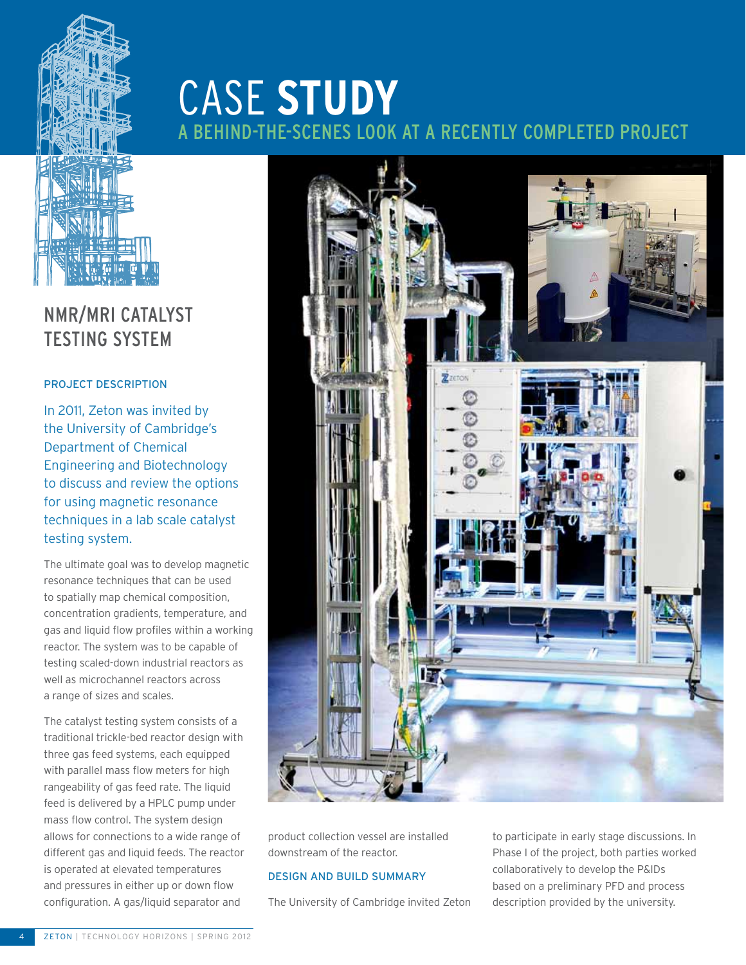

### CASE **STUDY**  ID-THE-SCENES LOOK AT A RECENTLY COMPLETED PROJECT



product collection vessel are installed downstream of the reactor.

#### DESIGN AND BUILD SUMMARY

The University of Cambridge invited Zeton

to participate in early stage discussions. In Phase I of the project, both parties worked collaboratively to develop the P&IDs based on a preliminary PFD and process description provided by the university.

#### NMR/MRI CATALYST TESTING SYSTEM

#### Project Description

In 2011, Zeton was invited by the University of Cambridge's Department of Chemical Engineering and Biotechnology to discuss and review the options for using magnetic resonance techniques in a lab scale catalyst testing system.

The ultimate goal was to develop magnetic resonance techniques that can be used to spatially map chemical composition, concentration gradients, temperature, and gas and liquid flow profiles within a working reactor. The system was to be capable of testing scaled-down industrial reactors as well as microchannel reactors across a range of sizes and scales.

The catalyst testing system consists of a traditional trickle-bed reactor design with three gas feed systems, each equipped with parallel mass flow meters for high rangeability of gas feed rate. The liquid feed is delivered by a HPLC pump under mass flow control. The system design allows for connections to a wide range of different gas and liquid feeds. The reactor is operated at elevated temperatures and pressures in either up or down flow configuration. A gas/liquid separator and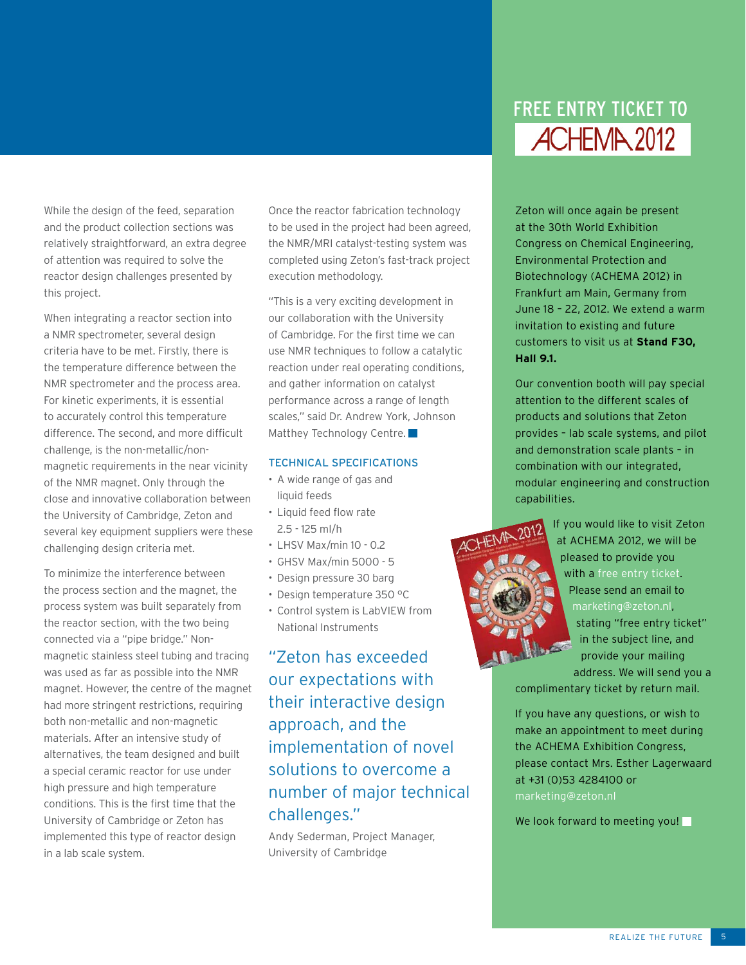While the design of the feed, separation and the product collection sections was relatively straightforward, an extra degree of attention was required to solve the reactor design challenges presented by this project.

When integrating a reactor section into a NMR spectrometer, several design criteria have to be met. Firstly, there is the temperature difference between the NMR spectrometer and the process area. For kinetic experiments, it is essential to accurately control this temperature difference. The second, and more difficult challenge, is the non-metallic/nonmagnetic requirements in the near vicinity of the NMR magnet. Only through the close and innovative collaboration between the University of Cambridge, Zeton and several key equipment suppliers were these challenging design criteria met.

To minimize the interference between the process section and the magnet, the process system was built separately from the reactor section, with the two being connected via a "pipe bridge." Nonmagnetic stainless steel tubing and tracing was used as far as possible into the NMR magnet. However, the centre of the magnet had more stringent restrictions, requiring both non-metallic and non-magnetic materials. After an intensive study of alternatives, the team designed and built a special ceramic reactor for use under high pressure and high temperature conditions. This is the first time that the University of Cambridge or Zeton has implemented this type of reactor design in a lab scale system.

Once the reactor fabrication technology to be used in the project had been agreed, the NMR/MRI catalyst-testing system was completed using Zeton's fast-track project execution methodology.

"This is a very exciting development in our collaboration with the University of Cambridge. For the first time we can use NMR techniques to follow a catalytic reaction under real operating conditions, and gather information on catalyst performance across a range of length scales," said Dr. Andrew York, Johnson Matthey Technology Centre.

#### TECHNICAL SPECIFICATIONS

- A wide range of gas and liquid feeds
- Liquid feed flow rate 2.5 - 125 ml/h
- LHSV Max/min 10 0.2
- GHSV Max/min 5000 5
- Design pressure 30 barg
- Design temperature 350 °C
- Control system is LabVIEW from National Instruments

"Zeton has exceeded our expectations with their interactive design approach, and the implementation of novel solutions to overcome a number of major technical challenges."

Andy Sederman, Project Manager, University of Cambridge

### FREE ENTRY TICKET TO **ACHEMA 2012**

Zeton will once again be present at the 30th World Exhibition Congress on Chemical Engineering, Environmental Protection and Biotechnology (ACHEMA 2012) in Frankfurt am Main, Germany from June 18 – 22, 2012. We extend a warm invitation to existing and future customers to visit us at **Stand F30, Hall 9.1.**

Our convention booth will pay special attention to the different scales of products and solutions that Zeton provides – lab scale systems, and pilot and demonstration scale plants – in combination with our integrated, modular engineering and construction capabilities.



If you would like to visit Zeton at ACHEMA 2012, we will be pleased to provide you with a free entry ticket. Please send an email to marketing@zeton.nl, stating "free entry ticket" in the subject line, and provide your mailing address. We will send you a

complimentary ticket by return mail.

If you have any questions, or wish to make an appointment to meet during the ACHEMA Exhibition Congress, please contact Mrs. Esther Lagerwaard at +31 (0)53 4284100 or

We look forward to meeting you!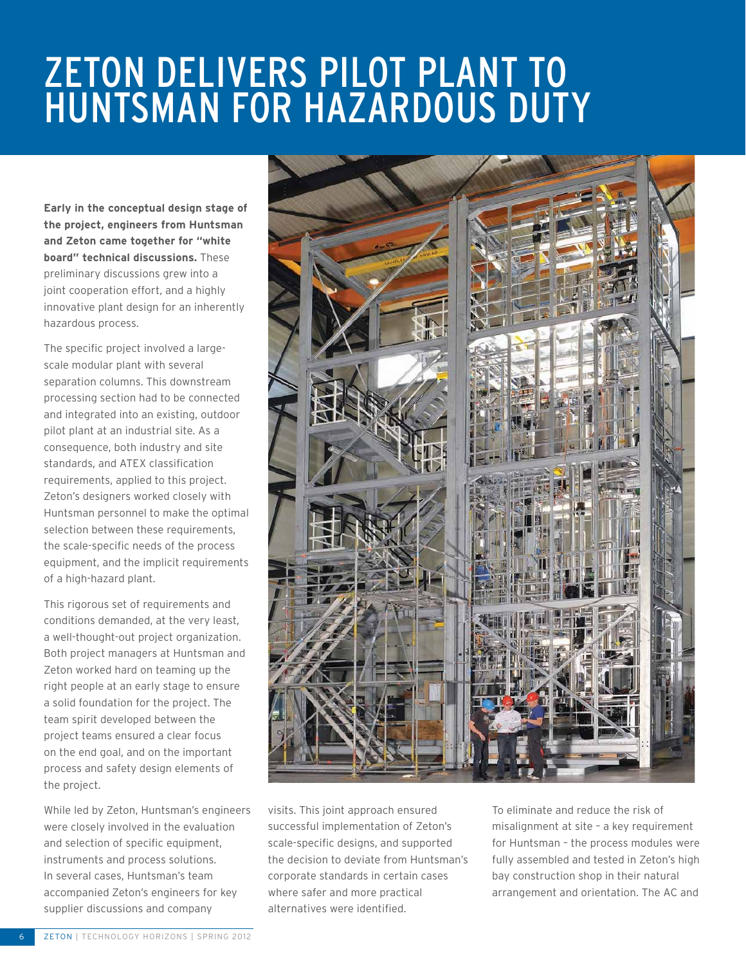### Zeton delivers pilot plant to HUNTSMAN FOR HAZARDOUS DUT

**Early in the conceptual design stage of the project, engineers from Huntsman and Zeton came together for "white board" technical discussions.** These preliminary discussions grew into a joint cooperation effort, and a highly innovative plant design for an inherently hazardous process.

The specific project involved a largescale modular plant with several separation columns. This downstream processing section had to be connected and integrated into an existing, outdoor pilot plant at an industrial site. As a consequence, both industry and site standards, and ATEX classification requirements, applied to this project. Zeton's designers worked closely with Huntsman personnel to make the optimal selection between these requirements, the scale-specific needs of the process equipment, and the implicit requirements of a high-hazard plant.

This rigorous set of requirements and conditions demanded, at the very least, a well-thought-out project organization. Both project managers at Huntsman and Zeton worked hard on teaming up the right people at an early stage to ensure a solid foundation for the project. The team spirit developed between the project teams ensured a clear focus on the end goal, and on the important process and safety design elements of the project.

While led by Zeton, Huntsman's engineers were closely involved in the evaluation and selection of specific equipment, instruments and process solutions. In several cases, Huntsman's team accompanied Zeton's engineers for key supplier discussions and company



visits. This joint approach ensured successful implementation of Zeton's scale-specific designs, and supported the decision to deviate from Huntsman's corporate standards in certain cases where safer and more practical alternatives were identified.

To eliminate and reduce the risk of misalignment at site - a key requirement for Huntsman – the process modules were fully assembled and tested in Zeton's high bay construction shop in their natural arrangement and orientation. The AC and